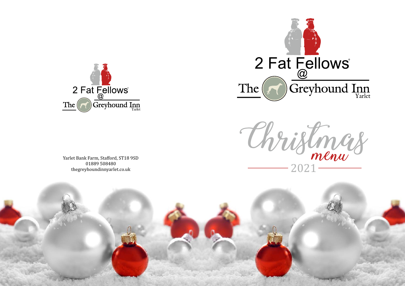





Yarlet Bank Farm, Stafford, ST18 9SD 01889 508480 thegreyhoundinnyarlet.co.uk